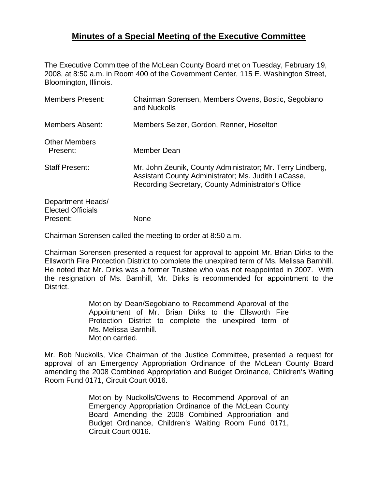## **Minutes of a Special Meeting of the Executive Committee**

The Executive Committee of the McLean County Board met on Tuesday, February 19, 2008, at 8:50 a.m. in Room 400 of the Government Center, 115 E. Washington Street, Bloomington, Illinois.

| <b>Members Present:</b>                                   | Chairman Sorensen, Members Owens, Bostic, Segobiano<br>and Nuckolls                                                                                                     |
|-----------------------------------------------------------|-------------------------------------------------------------------------------------------------------------------------------------------------------------------------|
| <b>Members Absent:</b>                                    | Members Selzer, Gordon, Renner, Hoselton                                                                                                                                |
| <b>Other Members</b><br>Present:                          | Member Dean                                                                                                                                                             |
| <b>Staff Present:</b>                                     | Mr. John Zeunik, County Administrator; Mr. Terry Lindberg,<br>Assistant County Administrator; Ms. Judith LaCasse,<br>Recording Secretary, County Administrator's Office |
| Department Heads/<br><b>Elected Officials</b><br>Present: | None                                                                                                                                                                    |

Chairman Sorensen called the meeting to order at 8:50 a.m.

Chairman Sorensen presented a request for approval to appoint Mr. Brian Dirks to the Ellsworth Fire Protection District to complete the unexpired term of Ms. Melissa Barnhill. He noted that Mr. Dirks was a former Trustee who was not reappointed in 2007. With the resignation of Ms. Barnhill, Mr. Dirks is recommended for appointment to the District.

> Motion by Dean/Segobiano to Recommend Approval of the Appointment of Mr. Brian Dirks to the Ellsworth Fire Protection District to complete the unexpired term of Ms. Melissa Barnhill. Motion carried.

Mr. Bob Nuckolls, Vice Chairman of the Justice Committee, presented a request for approval of an Emergency Appropriation Ordinance of the McLean County Board amending the 2008 Combined Appropriation and Budget Ordinance, Children's Waiting Room Fund 0171, Circuit Court 0016.

> Motion by Nuckolls/Owens to Recommend Approval of an Emergency Appropriation Ordinance of the McLean County Board Amending the 2008 Combined Appropriation and Budget Ordinance, Children's Waiting Room Fund 0171, Circuit Court 0016.